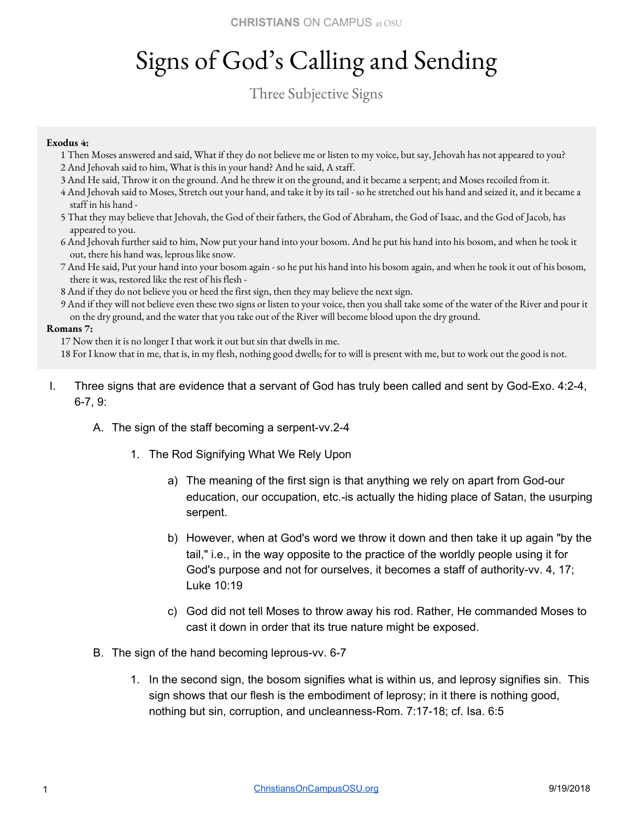## Signs of God's Calling and Sending

### Three Subjective Signs

#### **Exodus 4:**

- 1 Then Moses answered and said, What if they do not believe me or listen to my voice, but say, Jehovah has not appeared to you? 2 And Jehovah said to him, What is this in your hand? And he said, A staff.
- 3 And He said, Throw it on the ground. And he threw it on the ground, and it became a serpent; and Moses recoiled from it.
- 4 And Jehovah said to Moses, Stretch out your hand, and take it by its tail so he stretched out his hand and seized it, and it became a staff in his hand -
- 5 That they may believe that Jehovah, the God of their fathers, the God of Abraham, the God of Isaac, and the God of Jacob, has appeared to you.
- 6 And Jehovah further said to him, Now put your hand into your bosom. And he put his hand into his bosom, and when he took it out, there his hand was, leprous like snow.
- 7 And He said, Put your hand into your bosom again so he put his hand into his bosom again, and when he took it out of his bosom, there it was, restored like the rest of his flesh -
- 8 And if they do not believe you or heed the first sign, then they may believe the next sign.
- 9 And if they will not believe even these two signs or listen to your voice, then you shall take some of the water of the River and pour it on the dry ground, and the water that you take out of the River will become blood upon the dry ground.

#### **Romans 7:**

17 Now then it is no longer I that work it out but sin that dwells in me.

18 For I know that in me, that is, in my flesh, nothing good dwells; for to will is present with me, but to work out the good is not.

- I. Three signs that are evidence that a servant of God has truly been called and sent by God-Exo. 4:2-4, 6-7, 9:
	- A. The sign of the staff becoming a serpent-vv.2-4
		- 1. The Rod Signifying What We Rely Upon
			- a) The meaning of the first sign is that anything we rely on apart from God-our education, our occupation, etc.-is actually the hiding place of Satan, the usurping serpent.
			- b) However, when at God's word we throw it down and then take it up again "by the tail," i.e., in the way opposite to the practice of the worldly people using it for God's purpose and not for ourselves, it becomes a staff of authority-vv. 4, 17; Luke 10:19
			- c) God did not tell Moses to throw away his rod. Rather, He commanded Moses to cast it down in order that its true nature might be exposed.
	- B. The sign of the hand becoming leprous-vv. 6-7
		- 1. In the second sign, the bosom signifies what is within us, and leprosy signifies sin. This sign shows that our flesh is the embodiment of leprosy; in it there is nothing good, nothing but sin, corruption, and uncleanness-Rom. 7:17-18; cf. Isa. 6:5